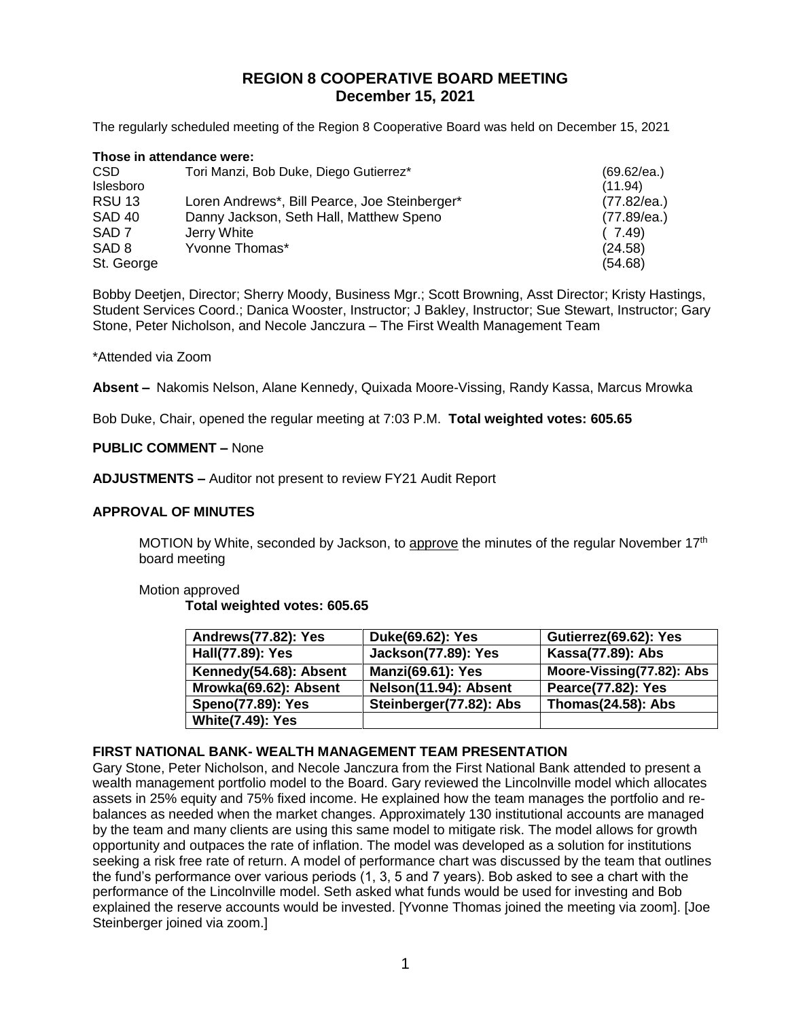# **REGION 8 COOPERATIVE BOARD MEETING December 15, 2021**

The regularly scheduled meeting of the Region 8 Cooperative Board was held on December 15, 2021

| Those in attendance were: |                                               |             |  |  |
|---------------------------|-----------------------------------------------|-------------|--|--|
| CSD.                      | Tori Manzi, Bob Duke, Diego Gutierrez*        | (69.62/ea.) |  |  |
| Islesboro                 |                                               | (11.94)     |  |  |
| <b>RSU 13</b>             | Loren Andrews*, Bill Pearce, Joe Steinberger* | (77.82/ea.) |  |  |
| <b>SAD 40</b>             | Danny Jackson, Seth Hall, Matthew Speno       | (77.89/ea.) |  |  |
| SAD <sub>7</sub>          | Jerry White                                   | (7.49)      |  |  |
| SAD <sub>8</sub>          | Yvonne Thomas*                                | (24.58)     |  |  |
| St. George                |                                               | (54.68)     |  |  |

Bobby Deetjen, Director; Sherry Moody, Business Mgr.; Scott Browning, Asst Director; Kristy Hastings, Student Services Coord.; Danica Wooster, Instructor; J Bakley, Instructor; Sue Stewart, Instructor; Gary Stone, Peter Nicholson, and Necole Janczura – The First Wealth Management Team

#### \*Attended via Zoom

**Absent –** Nakomis Nelson, Alane Kennedy, Quixada Moore-Vissing, Randy Kassa, Marcus Mrowka

Bob Duke, Chair, opened the regular meeting at 7:03 P.M. **Total weighted votes: 605.65**

## **PUBLIC COMMENT –** None

**ADJUSTMENTS –** Auditor not present to review FY21 Audit Report

#### **APPROVAL OF MINUTES**

MOTION by White, seconded by Jackson, to approve the minutes of the regular November 17<sup>th</sup> board meeting

#### Motion approved **Total weighted votes: 605.65**

| Andrews(77.82): Yes      | Duke(69.62): Yes           | Gutierrez(69.62): Yes     |
|--------------------------|----------------------------|---------------------------|
| Hall(77.89): Yes         | <b>Jackson(77.89): Yes</b> | Kassa(77.89): Abs         |
| Kennedy(54.68): Absent   | <b>Manzi(69.61): Yes</b>   | Moore-Vissing(77.82): Abs |
| Mrowka(69.62): Absent    | Nelson(11.94): Absent      | Pearce(77.82): Yes        |
| <b>Speno(77.89): Yes</b> | Steinberger(77.82): Abs    | <b>Thomas(24.58): Abs</b> |
| <b>White(7.49): Yes</b>  |                            |                           |

#### **FIRST NATIONAL BANK- WEALTH MANAGEMENT TEAM PRESENTATION**

Gary Stone, Peter Nicholson, and Necole Janczura from the First National Bank attended to present a wealth management portfolio model to the Board. Gary reviewed the Lincolnville model which allocates assets in 25% equity and 75% fixed income. He explained how the team manages the portfolio and rebalances as needed when the market changes. Approximately 130 institutional accounts are managed by the team and many clients are using this same model to mitigate risk. The model allows for growth opportunity and outpaces the rate of inflation. The model was developed as a solution for institutions seeking a risk free rate of return. A model of performance chart was discussed by the team that outlines the fund's performance over various periods (1, 3, 5 and 7 years). Bob asked to see a chart with the performance of the Lincolnville model. Seth asked what funds would be used for investing and Bob explained the reserve accounts would be invested. [Yvonne Thomas joined the meeting via zoom]. [Joe Steinberger joined via zoom.]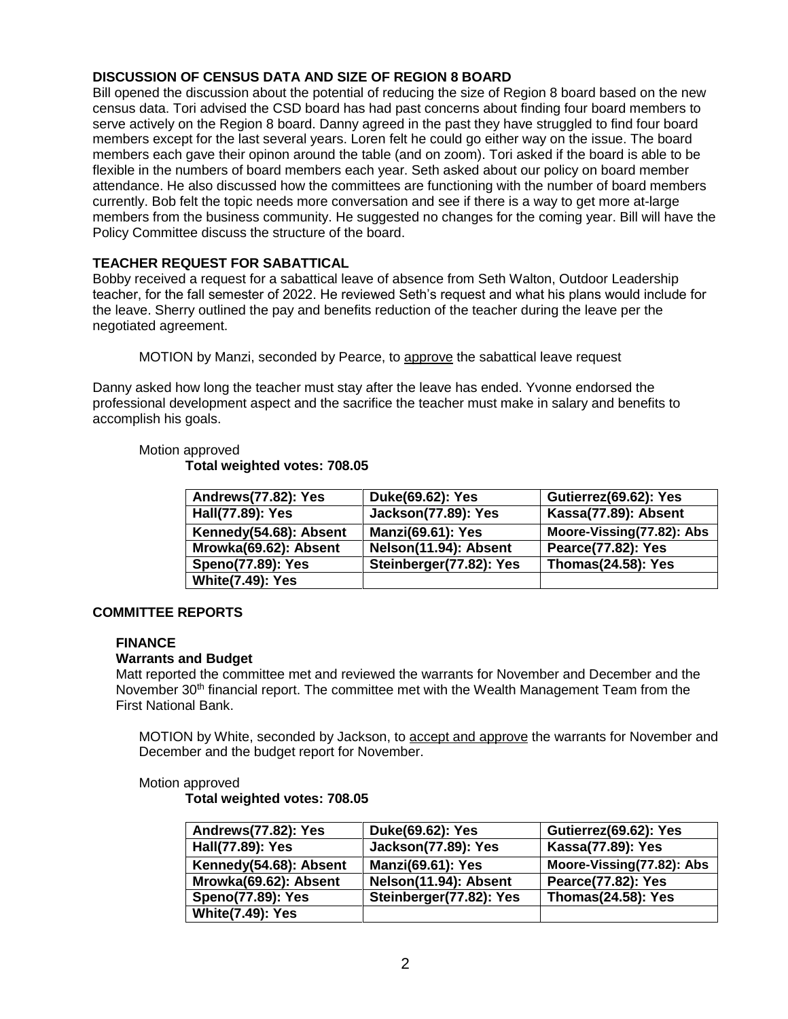## **DISCUSSION OF CENSUS DATA AND SIZE OF REGION 8 BOARD**

Bill opened the discussion about the potential of reducing the size of Region 8 board based on the new census data. Tori advised the CSD board has had past concerns about finding four board members to serve actively on the Region 8 board. Danny agreed in the past they have struggled to find four board members except for the last several years. Loren felt he could go either way on the issue. The board members each gave their opinon around the table (and on zoom). Tori asked if the board is able to be flexible in the numbers of board members each year. Seth asked about our policy on board member attendance. He also discussed how the committees are functioning with the number of board members currently. Bob felt the topic needs more conversation and see if there is a way to get more at-large members from the business community. He suggested no changes for the coming year. Bill will have the Policy Committee discuss the structure of the board.

## **TEACHER REQUEST FOR SABATTICAL**

Bobby received a request for a sabattical leave of absence from Seth Walton, Outdoor Leadership teacher, for the fall semester of 2022. He reviewed Seth's request and what his plans would include for the leave. Sherry outlined the pay and benefits reduction of the teacher during the leave per the negotiated agreement.

MOTION by Manzi, seconded by Pearce, to approve the sabattical leave request

Danny asked how long the teacher must stay after the leave has ended. Yvonne endorsed the professional development aspect and the sacrifice the teacher must make in salary and benefits to accomplish his goals.

#### Motion approved

**Total weighted votes: 708.05**

| Andrews(77.82): Yes      | Duke(69.62): Yes           | Gutierrez(69.62): Yes     |
|--------------------------|----------------------------|---------------------------|
| Hall(77.89): Yes         | <b>Jackson(77.89): Yes</b> | Kassa(77.89): Absent      |
| Kennedy(54.68): Absent   | <b>Manzi(69.61): Yes</b>   | Moore-Vissing(77.82): Abs |
| Mrowka(69.62): Absent    | Nelson(11.94): Absent      | Pearce(77.82): Yes        |
| <b>Speno(77.89): Yes</b> | Steinberger(77.82): Yes    | <b>Thomas(24.58): Yes</b> |
| <b>White(7.49): Yes</b>  |                            |                           |

## **COMMITTEE REPORTS**

#### **FINANCE**

## **Warrants and Budget**

Matt reported the committee met and reviewed the warrants for November and December and the November 30<sup>th</sup> financial report. The committee met with the Wealth Management Team from the First National Bank.

MOTION by White, seconded by Jackson, to accept and approve the warrants for November and December and the budget report for November.

#### Motion approved

**Total weighted votes: 708.05**

| Andrews(77.82): Yes      | Duke(69.62): Yes           | Gutierrez(69.62): Yes     |
|--------------------------|----------------------------|---------------------------|
| Hall(77.89): Yes         | <b>Jackson(77.89): Yes</b> | Kassa(77.89): Yes         |
| Kennedy(54.68): Absent   | <b>Manzi(69.61): Yes</b>   | Moore-Vissing(77.82): Abs |
| Mrowka(69.62): Absent    | Nelson(11.94): Absent      | Pearce(77.82): Yes        |
| <b>Speno(77.89): Yes</b> | Steinberger(77.82): Yes    | <b>Thomas(24.58): Yes</b> |
| <b>White(7.49): Yes</b>  |                            |                           |